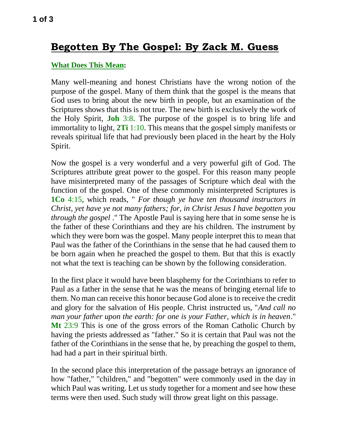# **Begotten By The Gospel: By Zack M. Guess**

# **What Does This Mean:**

Many well-meaning and honest Christians have the wrong notion of the purpose of the gospel. Many of them think that the gospel is the means that God uses to bring about the new birth in people, but an examination of the Scriptures shows that this is not true. The new birth is exclusively the work of the Holy Spirit, **Joh** 3:8. The purpose of the gospel is to bring life and immortality to light, **2Ti** 1:10. This means that the gospel simply manifests or reveals spiritual life that had previously been placed in the heart by the Holy Spirit.

Now the gospel is a very wonderful and a very powerful gift of God. The Scriptures attribute great power to the gospel. For this reason many people have misinterpreted many of the passages of Scripture which deal with the function of the gospel. One of these commonly misinterpreted Scriptures is **1Co** 4:15, which reads, " *For though ye have ten thousand instructors in Christ, yet have ye not many fathers; for, in Christ Jesus I have begotten you through the gospel* ." The Apostle Paul is saying here that in some sense he is the father of these Corinthians and they are his children. The instrument by which they were born was the gospel. Many people interpret this to mean that Paul was the father of the Corinthians in the sense that he had caused them to be born again when he preached the gospel to them. But that this is exactly not what the text is teaching can be shown by the following consideration.

In the first place it would have been blasphemy for the Corinthians to refer to Paul as a father in the sense that he was the means of bringing eternal life to them. No man can receive this honor because God alone is to receive the credit and glory for the salvation of His people. Christ instructed us, "*And call no man your father upon the earth: for one is your Father, which is in heaven*." **Mt** 23:9 This is one of the gross errors of the Roman Catholic Church by having the priests addressed as "father." So it is certain that Paul was not the father of the Corinthians in the sense that he, by preaching the gospel to them, had had a part in their spiritual birth.

In the second place this interpretation of the passage betrays an ignorance of how "father," "children," and "begotten" were commonly used in the day in which Paul was writing. Let us study together for a moment and see how these terms were then used. Such study will throw great light on this passage.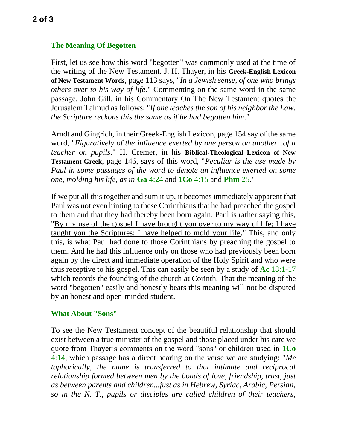### **The Meaning Of Begotten**

First, let us see how this word "begotten" was commonly used at the time of the writing of the New Testament. J. H. Thayer, in his **Greek-English Lexicon of New Testament Words**, page 113 says, "*In a Jewish sense, of one who brings others over to his way of life*." Commenting on the same word in the same passage, John Gill, in his Commentary On The New Testament quotes the Jerusalem Talmud as follows; "*If one teaches the son of his neighbor the Law, the Scripture reckons this the same as if he had begotten him*."

Arndt and Gingrich, in their Greek-English Lexicon, page 154 say of the same word, "*Figuratively of the influence exerted by one person on another...of a teacher on pupils*." H. Cremer, in his **Biblical-Theological Lexicon of New Testament Greek**, page 146, says of this word, "*Peculiar is the use made by Paul in some passages of the word to denote an influence exerted on some one, molding his life, as in* **Ga** 4:24 and **1Co** 4:15 and **Phm** 25."

If we put all this together and sum it up, it becomes immediately apparent that Paul was not even hinting to these Corinthians that he had preached the gospel to them and that they had thereby been born again. Paul is rather saying this, "By my use of the gospel I have brought you over to my way of life; I have taught you the Scriptures; I have helped to mold your life." This, and only this, is what Paul had done to those Corinthians by preaching the gospel to them. And he had this influence only on those who had previously been born again by the direct and immediate operation of the Holy Spirit and who were thus receptive to his gospel. This can easily be seen by a study of **Ac** 18:1-17 which records the founding of the church at Corinth. That the meaning of the word "begotten" easily and honestly bears this meaning will not be disputed by an honest and open-minded student.

#### **What About "Sons"**

To see the New Testament concept of the beautiful relationship that should exist between a true minister of the gospel and those placed under his care we quote from Thayer's comments on the word "sons" or children used in **1Co** 4:14, which passage has a direct bearing on the verse we are studying: "*Me taphorically, the name is transferred to that intimate and reciprocal relationship formed between men by the bonds of love, friendship, trust, just as between parents and children...just as in Hebrew, Syriac, Arabic, Persian, so in the N. T., pupils or disciples are called children of their teachers,*